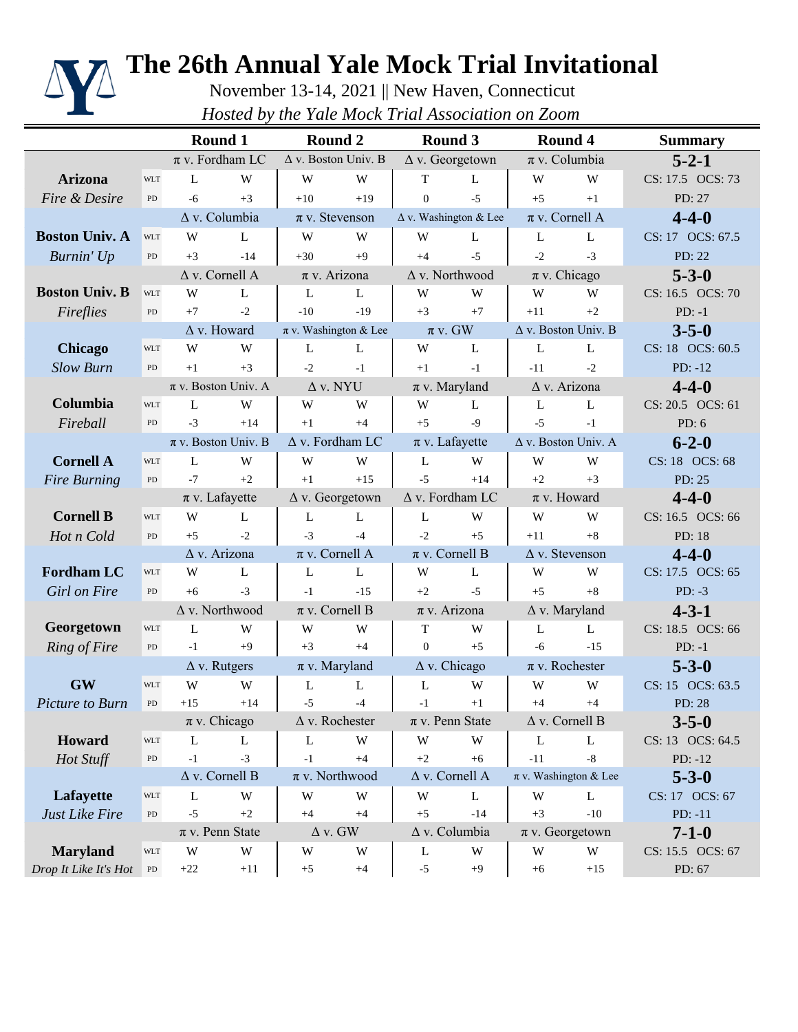

## **The 26th Annual Yale Mock Trial Invitational**

November 13-14, 2021 || New Haven, Connecticut *Hosted by the Yale Mock Trial Association on Zoom*

|                       |                         |                                                  | Round 1                     |                            | Round 2                      | Round 3                |                               |                                | <b>Round 4</b>               | <b>Summary</b>           |
|-----------------------|-------------------------|--------------------------------------------------|-----------------------------|----------------------------|------------------------------|------------------------|-------------------------------|--------------------------------|------------------------------|--------------------------|
|                       |                         |                                                  | $\pi$ v. Fordham LC         | $\Delta$ v. Boston Univ. B |                              | $\Delta$ v. Georgetown |                               | $\pi$ v. Columbia              |                              | $5 - 2 - 1$              |
| <b>Arizona</b>        | <b>WLT</b>              | L                                                | W                           | W                          | W                            | $\mathbf T$            | L                             | W                              | W                            | CS: 17.5 OCS: 73         |
| Fire & Desire         | PD                      | $-6$                                             | $+3$                        | $+10$                      | $+19$                        | $\Omega$               | $-5$                          | $+5$                           | $+1$                         | PD: 27                   |
|                       | $\Delta$ v. Columbia    |                                                  | $\pi$ v. Stevenson          |                            | $\Delta$ v. Washington & Lee |                        | $\pi$ v. Cornell A            |                                | $4 - 4 - 0$                  |                          |
| <b>Boston Univ. A</b> | <b>WLT</b>              | W                                                | L                           | W                          | W                            | W                      | L                             | L                              | L                            | CS: 17 OCS: 67.5         |
| Burnin' Up            | ${\rm PD}$              | $+3$                                             | $-14$                       | $+30$                      | $+9$                         | $+4$                   | $-5$                          | $-2$                           | $-3$                         | PD: 22                   |
|                       |                         |                                                  | $\Delta$ v. Cornell A       |                            | $\pi$ v. Arizona             |                        | $\Delta$ v. Northwood         |                                | $\pi$ v. Chicago             | $5 - 3 - 0$              |
| <b>Boston Univ. B</b> | <b>WLT</b>              | W                                                | L                           | L                          | L                            | W                      | W                             | W                              | W                            | CS: 16.5 OCS: 70         |
| Fireflies             | PD                      | $+7$                                             | $-2$                        | $-10$                      | $-19$                        | $+3$                   | $+7$                          | $+11$                          | $+2$                         | $PD: -1$                 |
|                       |                         |                                                  | $\Delta$ v. Howard          | $\pi$ v. Washington & Lee  |                              | $\pi v$ . GW           |                               | $\Delta$ v. Boston Univ. B     |                              | $3 - 5 - 0$              |
| <b>Chicago</b>        | <b>WLT</b>              | W                                                | W                           | L                          | L                            | W                      | L                             | L                              | L                            | CS: 18 OCS: 60.5         |
| <b>Slow Burn</b>      | PD                      | $+1$                                             | $+3$                        | $-2$                       | $-1$                         | $+1$                   | $-1$                          | $-11$                          | $-2$                         | $PD: -12$                |
|                       |                         |                                                  | $\pi$ v. Boston Univ. A     | $\Delta$ v. NYU            |                              | $\pi$ v. Maryland      |                               | $\overline{\Delta}$ v. Arizona |                              | $4 - 4 - 0$              |
| Columbia              | <b>WLT</b>              | L                                                | W                           | W                          | W                            | W                      | L                             | L                              | L                            | CS: 20.5 OCS: 61         |
| Fireball              | PD                      | $-3$                                             | $+14$                       | $+1$                       | $+4$                         | $+5$                   | $-9$                          | $-5$                           | $-1$                         | PD: $6$                  |
|                       | $\pi$ v. Boston Univ. B |                                                  | $\Delta$ v. Fordham LC      |                            | $\pi$ v. Lafayette           |                        | Δ v. Boston Univ. A           |                                | $6 - 2 - 0$                  |                          |
| <b>Cornell A</b>      | <b>WLT</b>              | L                                                | W                           | W                          | W                            | L                      | W                             | W                              | W                            | CS: 18 OCS: 68           |
| <b>Fire Burning</b>   | PD                      | $-7$                                             | $+2$                        | $+1$                       | $+15$                        | $-5$                   | $+14$                         | $+2$                           | $+3$                         | PD: 25                   |
| $\pi$ v. Lafayette    |                         | $\Delta$ v. Fordham LC<br>$\Delta$ v. Georgetown |                             |                            | $\pi$ v. Howard              |                        | $4 - 4 - 0$                   |                                |                              |                          |
| <b>Cornell B</b>      | <b>WLT</b>              | W                                                | L                           | L                          | L                            | L                      | W                             | W                              | W                            | CS: 16.5 OCS: 66         |
| Hot n Cold            | PD                      | $+5$                                             | $-2$                        | $-3$                       | $-4$                         | $-2$                   | $+5$                          | $+11$                          | $+8$                         | PD: 18                   |
| $\Delta$ v. Arizona   |                         | $\pi$ v. Cornell A                               |                             | $\pi$ v. Cornell B         |                              |                        | $\Delta$ v. Stevenson         | $4 - 4 - 0$                    |                              |                          |
| <b>Fordham LC</b>     | <b>WLT</b>              | W                                                | L                           | L                          | L                            | W                      | L                             | W                              | W                            | CS: 17.5 OCS: 65         |
| <b>Girl</b> on Fire   | PD                      | $+6$                                             | $-3$                        | $-1$                       | $-15$                        | $+2$                   | $-5$                          | $+5$                           | $+8$                         | $PD: -3$                 |
|                       |                         |                                                  | $\Delta$ v. Northwood       | $\pi$ v. Cornell B         |                              |                        | $\pi$ v. Arizona              |                                | $\Delta$ v. Maryland         | $4 - 3 - 1$              |
| Georgetown            | <b>WLT</b>              | L                                                | W                           | W                          | W                            | T                      | W                             | L                              | L                            | CS: 18.5 OCS: 66         |
| Ring of Fire          | ${\rm PD}$              | $-1$                                             | $+9$                        | $+3$                       | $+4$                         | $\Omega$               | $+5$                          | $-6$                           | $-15$                        | $PD: -1$                 |
|                       |                         |                                                  | $\Delta$ v. Rutgers         |                            | $\pi$ v. Maryland            |                        | $\Delta$ v. Chicago           |                                | $\pi$ v. Rochester           | $5 - 3 - 0$              |
| <b>GW</b>             | <b>WLT</b>              | W                                                | W                           | L                          | L                            | L                      | W                             | W                              | W                            | CS: 15 OCS: 63.5         |
| Picture to Burn       | PD                      | $+15$                                            | $+14$                       | $-5$                       | $-4$                         | $-1$                   | $+1$                          | $+4$                           | $+4$                         | PD: 28                   |
|                       |                         |                                                  | $\pi$ v. Chicago            |                            | $\Delta$ v. Rochester        |                        | $\pi$ v. Penn State           |                                | $\Delta$ v. Cornell B        | $3 - 5 - 0$              |
| Howard                | <b>WLT</b>              | L                                                | L                           | L                          | W                            | W                      | W                             | L                              | L                            | CS: 13 OCS: 64.5         |
| Hot Stuff             | ${\rm PD}$              | $-1$                                             | $-3$                        | $-1$                       | $+4$<br>$\pi$ v. Northwood   | $+2$                   | $+6$                          | $-11$                          | $-8$                         | $PD: -12$                |
|                       |                         |                                                  | $\Delta$ v. Cornell B       | W                          |                              |                        | $\Delta$ v. Cornell A         |                                | $\pi$ v. Washington & Lee    | $5 - 3 - 0$              |
| Lafayette             | <b>WLT</b>              | L<br>$-5$                                        | W                           | $+4$                       | W                            | W                      | L                             | W                              | L                            | CS: 17 OCS: 67           |
| <b>Just Like Fire</b> | PD                      |                                                  | $+2$<br>$\pi$ v. Penn State |                            | $+4$<br>$\Delta$ v. GW       | $+5$                   | $-14$<br>$\Delta$ v. Columbia | $+3$                           | $-10$<br>$\pi$ v. Georgetown | $PD: -11$<br>$7 - 1 - 0$ |
| <b>Maryland</b>       | <b>WLT</b>              | W                                                | W                           | W                          | W                            | L                      | W                             | W                              | W                            | CS: 15.5 OCS: 67         |
| Drop It Like It's Hot | ${\rm PD}$              | $+22$                                            | $+11$                       | $+5$                       | $+4$                         | $-5$                   | $+9$                          | $+6$                           | $+15$                        | PD: 67                   |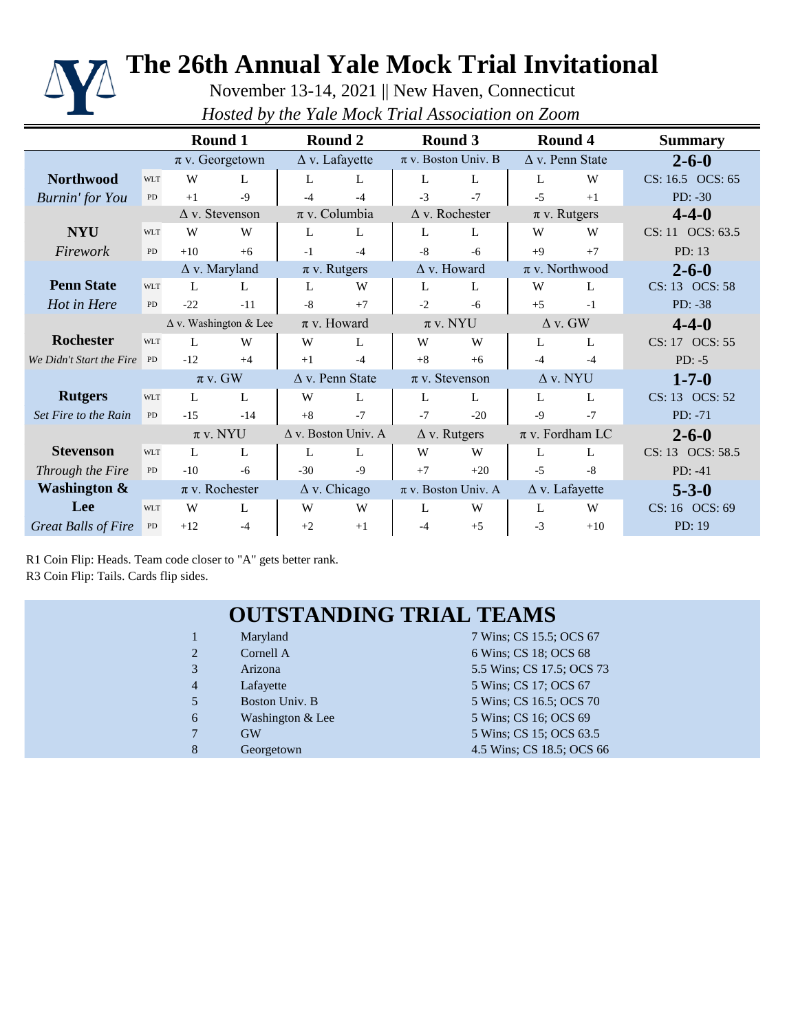

# **The 26th Annual Yale Mock Trial Invitational**

November 13-14, 2021 || New Haven, Connecticut *Hosted by the Yale Mock Trial Association on Zoom*

|                            |            |                              | Round 1              |                            | Round 2             |                         | Round 3                 |                        | Round 4               | <b>Summary</b>   |
|----------------------------|------------|------------------------------|----------------------|----------------------------|---------------------|-------------------------|-------------------------|------------------------|-----------------------|------------------|
|                            |            | $\pi$ v. Georgetown          |                      | $\Delta$ v. Lafayette      |                     | $\pi$ v. Boston Univ. B |                         | $\Delta$ v. Penn State |                       | $2 - 6 - 0$      |
| <b>Northwood</b>           | <b>WLT</b> | W                            | L                    | L                          | L                   | L                       | L                       | L                      | W                     | CS: 16.5 OCS: 65 |
| <b>Burnin'</b> for You     | PD         | $+1$                         | $-9$                 | -4                         | $-4$                | $-3$                    | $-7$                    | $-5$                   | $+1$                  | $PD: -30$        |
|                            |            | $\Delta$ v. Stevenson        |                      | $\pi$ v. Columbia          |                     | $\Delta$ v. Rochester   |                         | $\pi$ v. Rutgers       |                       | $4 - 4 - 0$      |
| <b>NYU</b>                 | <b>WLT</b> | W                            | W                    | L                          | L                   | L                       | L                       | W                      | W                     | CS: 11 OCS: 63.5 |
| Firework                   | PD         | $+10$                        | $+6$                 | $-1$                       | $-4$                | $-8$                    | $-6$                    | $+9$                   | $+7$                  | PD: 13           |
|                            |            |                              | $\Delta$ v. Maryland |                            | $\pi$ v. Rutgers    |                         | $\Delta$ v. Howard      |                        | $\pi$ v. Northwood    | $2 - 6 - 0$      |
| <b>Penn State</b>          | <b>WLT</b> | L                            | L                    | L                          | W                   | L                       | L                       | W                      | L                     | CS: 13 OCS: 58   |
| Hot in Here                | PD         | $-22$                        | $-11$                | $-8$                       | $+7$                | $-2$                    | $-6$                    | $+5$                   | $-1$                  | PD: -38          |
|                            |            | $\Delta$ v. Washington & Lee |                      | $\pi$ v. Howard            |                     | $\pi$ v. NYU            |                         | $\Delta$ v. GW         |                       | $4 - 4 - 0$      |
| <b>Rochester</b>           | <b>WLT</b> | L                            | W                    | W                          | L                   | W                       | W                       | L                      | L                     | CS: 17 OCS: 55   |
| We Didn't Start the Fire   | PD         | $-12$                        | $+4$                 | $+1$                       | $-4$                | $+8$                    | $+6$                    | $-4$                   | $-4$                  | $PD: -5$         |
|                            |            | $\pi$ v. GW                  |                      | $\Delta$ v. Penn State     |                     | $\pi$ v. Stevenson      |                         | $\Delta$ v. NYU        |                       | $1 - 7 - 0$      |
| <b>Rutgers</b>             | <b>WLT</b> | L                            | L                    | W                          | L                   | L                       | L                       | L                      | L                     | CS: 13 OCS: 52   |
| Set Fire to the Rain       | PD         | $-15$                        | $-14$                | $+8$                       | $-7$                | $-7$                    | $-20$                   | $-9$                   | $-7$                  | $PD: -71$        |
|                            |            | $\pi$ v. NYU                 |                      | $\Delta$ v. Boston Univ. A |                     | $\Delta$ v. Rutgers     |                         | $\pi$ v. Fordham LC    |                       | $2 - 6 - 0$      |
| <b>Stevenson</b>           | <b>WLT</b> | L                            | L                    | L                          | L                   | W                       | W                       | L                      | L                     | CS: 13 OCS: 58.5 |
| Through the Fire           | PD         | $-10$                        | $-6$                 | $-30$                      | $-9$                | $+7$                    | $+20$                   | $-5$                   | $-8$                  | PD: $-41$        |
| <b>Washington &amp;</b>    |            |                              | $\pi$ v. Rochester   |                            | $\Delta$ v. Chicago |                         | $\pi$ v. Boston Univ. A |                        | $\Delta$ v. Lafayette | $5 - 3 - 0$      |
| Lee                        | <b>WLT</b> | W                            | L                    | W                          | W                   | L                       | W                       | L                      | W                     | CS: 16 OCS: 69   |
| <b>Great Balls of Fire</b> | ${\rm PD}$ | $+12$                        | $-4$                 | $+2$                       | $+1$                | $-4$                    | $+5$                    | $-3$                   | $+10$                 | PD: 19           |

R1 Coin Flip: Heads. Team code closer to "A" gets better rank. R3 Coin Flip: Tails. Cards flip sides.

#### **OUTSTANDING TRIAL TEAMS**

| $\mathbf{1}$    | Maryland         | 7 Wins; CS 15.5; OCS 67   |
|-----------------|------------------|---------------------------|
| 2               | Cornell A        | 6 Wins; CS 18; OCS 68     |
| 3               | Arizona          | 5.5 Wins; CS 17.5; OCS 73 |
| $\overline{4}$  | Lafayette        | 5 Wins; CS 17; OCS 67     |
| $5\overline{)}$ | Boston Univ. B   | 5 Wins; CS 16.5; OCS 70   |
| 6               | Washington & Lee | 5 Wins; CS 16; OCS 69     |
| $\overline{7}$  | <b>GW</b>        | 5 Wins; CS 15; OCS 63.5   |
| 8               | Georgetown       | 4.5 Wins; CS 18.5; OCS 66 |